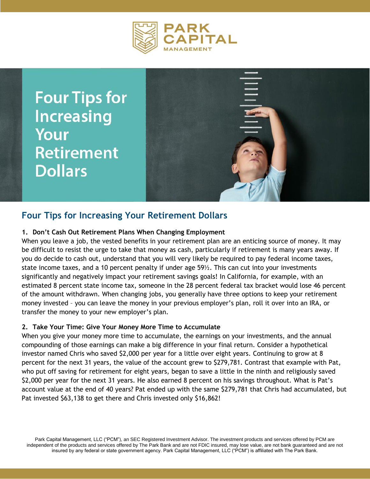

**Four Tips for Increasing** Your **Retirement Dollars** 



# **Four Tips for Increasing Your Retirement Dollars**

# **1. Don't Cash Out Retirement Plans When Changing Employment**

When you leave a job, the vested benefits in your retirement plan are an enticing source of money. It may be difficult to resist the urge to take that money as cash, particularly if retirement is many years away. If you do decide to cash out, understand that you will very likely be required to pay federal income taxes, state income taxes, and a 10 percent penalty if under age 59½. This can cut into your investments significantly and negatively impact your retirement savings goals! In California, for example, with an estimated 8 percent state income tax, someone in the 28 percent federal tax bracket would lose 46 percent of the amount withdrawn. When changing jobs, you generally have three options to keep your retirement money invested – you can leave the money in your previous employer's plan, roll it over into an IRA, or transfer the money to your new employer's plan.

### **2. Take Your Time: Give Your Money More Time to Accumulate**

When you give your money more time to accumulate, the earnings on your investments, and the annual compounding of those earnings can make a big difference in your final return. Consider a hypothetical investor named Chris who saved \$2,000 per year for a little over eight years. Continuing to grow at 8 percent for the next 31 years, the value of the account grew to \$279,781. Contrast that example with Pat, who put off saving for retirement for eight years, began to save a little in the ninth and religiously saved \$2,000 per year for the next 31 years. He also earned 8 percent on his savings throughout. What is Pat's account value at the end of 40 years? Pat ended up with the same \$279,781 that Chris had accumulated, but Pat invested \$63,138 to get there and Chris invested only \$16,862!